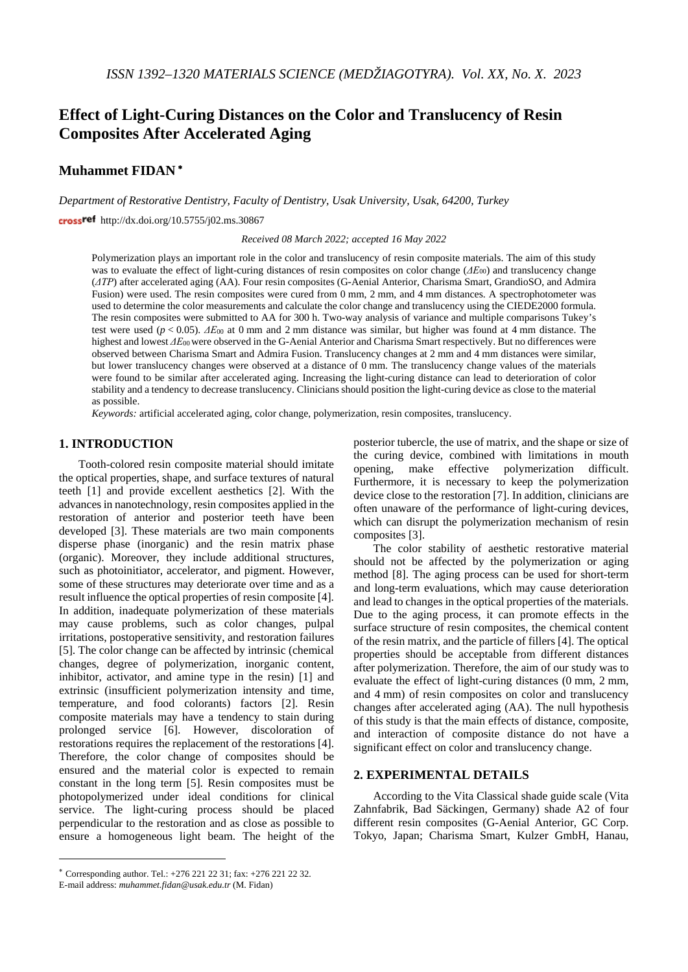# **Effect of Light-Curing Distances on the Color and Translucency of Resin Composites After Accelerated Aging**

# **Muhammet FIDAN** <sup>∗</sup>

*Department of Restorative Dentistry, Faculty of Dentistry, Usak University, Usak, 64200, Turkey*

crossref http://dx.doi.org/10.5755/j02.ms.30867

*Received 08 March 2022; accepted 16 May 2022*

Polymerization plays an important role in the color and translucency of resin composite materials. The aim of this study was to evaluate the effect of light-curing distances of resin composites on color change (*ΔE*00) and translucency change (*ΔTP*) after accelerated aging (AA). Four resin composites (G-Aenial Anterior, Charisma Smart, GrandioSO, and Admira Fusion) were used. The resin composites were cured from 0 mm, 2 mm, and 4 mm distances. A spectrophotometer was used to determine the color measurements and calculate the color change and translucency using the CIEDE2000 formula. The resin composites were submitted to AA for 300 h. Two-way analysis of variance and multiple comparisons Tukey's test were used (*p* < 0.05). *ΔE*<sup>00</sup> at 0 mm and 2 mm distance was similar, but higher was found at 4 mm distance. The highest and lowest *ΔE*00 were observed in the G-Aenial Anterior and Charisma Smart respectively. But no differences were observed between Charisma Smart and Admira Fusion. Translucency changes at 2 mm and 4 mm distances were similar, but lower translucency changes were observed at a distance of 0 mm. The translucency change values of the materials were found to be similar after accelerated aging. Increasing the light-curing distance can lead to deterioration of color stability and a tendency to decrease translucency. Clinicians should position the light-curing device as close to the material as possible.

*Keywords:* artificial accelerated aging, color change, polymerization, resin composites, translucency.

## **1. INTRODUCTION**[∗](#page-0-0)

Tooth-colored resin composite material should imitate the optical properties, shape, and surface textures of natural teeth [1] and provide excellent aesthetics [2]. With the advances in nanotechnology, resin composites applied in the restoration of anterior and posterior teeth have been developed [3]. These materials are two main components disperse phase (inorganic) and the resin matrix phase (organic). Moreover, they include additional structures, such as photoinitiator, accelerator, and pigment. However, some of these structures may deteriorate over time and as a result influence the optical properties of resin composite [4]. In addition, inadequate polymerization of these materials may cause problems, such as color changes, pulpal irritations, postoperative sensitivity, and restoration failures [5]. The color change can be affected by intrinsic (chemical changes, degree of polymerization, inorganic content, inhibitor, activator, and amine type in the resin) [1] and extrinsic (insufficient polymerization intensity and time, temperature, and food colorants) factors [2]. Resin composite materials may have a tendency to stain during prolonged service [6]. However, discoloration of restorations requires the replacement of the restorations [4]. Therefore, the color change of composites should be ensured and the material color is expected to remain constant in the long term [5]. Resin composites must be photopolymerized under ideal conditions for clinical service. The light-curing process should be placed perpendicular to the restoration and as close as possible to ensure a homogeneous light beam. The height of the

 $\overline{a}$ 

posterior tubercle, the use of matrix, and the shape or size of the curing device, combined with limitations in mouth opening, make effective polymerization difficult. Furthermore, it is necessary to keep the polymerization device close to the restoration [7]. In addition, clinicians are often unaware of the performance of light-curing devices, which can disrupt the polymerization mechanism of resin composites [3].

The color stability of aesthetic restorative material should not be affected by the polymerization or aging method [8]. The aging process can be used for short-term and long-term evaluations, which may cause deterioration and lead to changes in the optical properties of the materials. Due to the aging process, it can promote effects in the surface structure of resin composites, the chemical content of the resin matrix, and the particle of fillers [4]. The optical properties should be acceptable from different distances after polymerization. Therefore, the aim of our study was to evaluate the effect of light-curing distances (0 mm, 2 mm, and 4 mm) of resin composites on color and translucency changes after accelerated aging (AA). The null hypothesis of this study is that the main effects of distance, composite, and interaction of composite distance do not have a significant effect on color and translucency change.

# **2. EXPERIMENTAL DETAILS**

According to the Vita Classical shade guide scale (Vita Zahnfabrik, Bad Säckingen, Germany) shade A2 of four different resin composites (G-Aenial Anterior, GC Corp. Tokyo, Japan; Charisma Smart, Kulzer GmbH, Hanau,

<span id="page-0-0"></span><sup>∗</sup> Corresponding author. Tel.: +276 221 22 31; fax: +276 221 22 32. E-mail address: *muhammet.fidan@usak.edu.tr* (M. Fidan)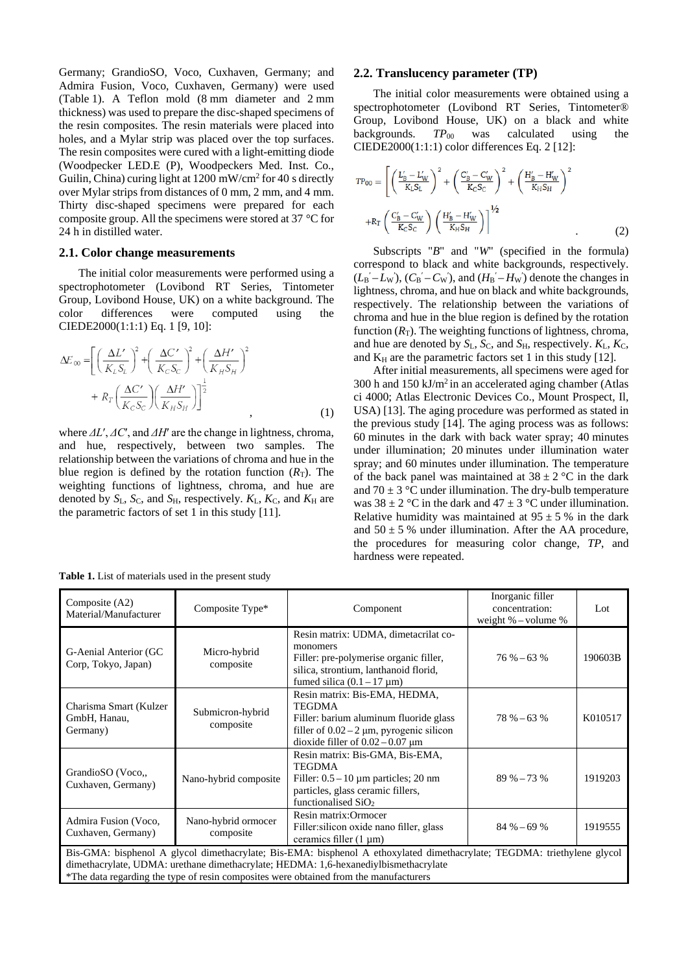Germany; GrandioSO, Voco, Cuxhaven, Germany; and Admira Fusion, Voco, Cuxhaven, Germany) were used (Table 1). A Teflon mold (8 mm diameter and 2 mm thickness) was used to prepare the disc-shaped specimens of the resin composites. The resin materials were placed into holes, and a Mylar strip was placed over the top surfaces. The resin composites were cured with a light-emitting diode (Woodpecker LED.E (P), Woodpeckers Med. Inst. Co., Guilin, China) curing light at 1200 mW/cm2 for 40 s directly over Mylar strips from distances of 0 mm, 2 mm, and 4 mm. Thirty disc-shaped specimens were prepared for each composite group. All the specimens were stored at 37 °C for 24 h in distilled water.

#### **2.1. Color change measurements**

The initial color measurements were performed using a spectrophotometer (Lovibond RT Series, Tintometer Group, Lovibond House, UK) on a white background. The color differences were computed using the CIEDE2000(1:1:1) Eq. 1 [9, 10]:

$$
\Delta E_{\text{oo}} = \left[ \left( \frac{\Delta L'}{K_L S_L} \right)^2 + \left( \frac{\Delta C'}{K_C S_C} \right)^2 + \left( \frac{\Delta H'}{K_H S_H} \right)^2 + R_T \left( \frac{\Delta C'}{K_C S_C} \right) \left( \frac{\Delta H'}{K_H S_H} \right) \right]^{\frac{1}{2}}
$$
\n
$$
(1)
$$

where *ΔL*′, *ΔC*′, and *ΔH*′ are the change in lightness, chroma, and hue, respectively, between two samples. The relationship between the variations of chroma and hue in the blue region is defined by the rotation function  $(R<sub>T</sub>)$ . The weighting functions of lightness, chroma, and hue are denoted by  $S_L$ ,  $S_C$ , and  $S_H$ , respectively.  $K_L$ ,  $K_C$ , and  $K_H$  are the parametric factors of set 1 in this study [11].

#### **2.2. Translucency parameter (TP)**

The initial color measurements were obtained using a spectrophotometer (Lovibond RT Series, Tintometer®) Group, Lovibond House, UK) on a black and white backgrounds. *TP*<sub>00</sub> was calculated using the CIEDE2000(1:1:1) color differences Eq. 2 [12]:

$$
TP_{00} = \left[ \left( \frac{L'_{B} - L'_{W}}{K_{L} S_{L}} \right)^{2} + \left( \frac{C'_{B} - C'_{W}}{K_{C} S_{C}} \right)^{2} + \left( \frac{H'_{B} - H'_{W}}{K_{H} S_{H}} \right)^{2} + R_{T} \left( \frac{C'_{B} - C'_{W}}{K_{C} S_{C}} \right) \left( \frac{H'_{B} - H'_{W}}{K_{H} S_{H}} \right) \right]^{1/2}
$$
(2)

Subscripts "*B*" and "*W*" (specified in the formula) correspond to black and white backgrounds, respectively.  $(L_{\rm B}' - L_{\rm W})$ ,  $(C_{\rm B}' - C_{\rm W})$ , and  $(H_{\rm B}' - H_{\rm W})$  denote the changes in lightness, chroma, and hue on black and white backgrounds, respectively. The relationship between the variations of chroma and hue in the blue region is defined by the rotation function  $(R<sub>T</sub>)$ . The weighting functions of lightness, chroma, and hue are denoted by  $S_L$ ,  $S_C$ , and  $S_H$ , respectively.  $K_L$ ,  $K_C$ , and  $K_H$  are the parametric factors set 1 in this study [12].

After initial measurements, all specimens were aged for 300 h and  $150 \text{ kJ/m}^2$  in an accelerated aging chamber (Atlas ci 4000; Atlas Electronic Devices Co., Mount Prospect, Il, USA) [13]. The aging procedure was performed as stated in the previous study [14]. The aging process was as follows: 60 minutes in the dark with back water spray; 40 minutes under illumination; 20 minutes under illumination water spray; and 60 minutes under illumination. The temperature of the back panel was maintained at  $38 \pm 2$  °C in the dark and  $70 \pm 3$  °C under illumination. The dry-bulb temperature was  $38 \pm 2$  °C in the dark and  $47 \pm 3$  °C under illumination. Relative humidity was maintained at  $95 \pm 5$  % in the dark and  $50 \pm 5$  % under illumination. After the AA procedure, the procedures for measuring color change, *TP*, and hardness were repeated.

| Composite (A2)<br>Material/Manufacturer                                                                                                                                                                                                                                                                 | Composite Type*                  | Component                                                                                                                                                                           | Inorganic filler<br>concentration:<br>weight $%$ – volume $%$ | Lot     |  |  |
|---------------------------------------------------------------------------------------------------------------------------------------------------------------------------------------------------------------------------------------------------------------------------------------------------------|----------------------------------|-------------------------------------------------------------------------------------------------------------------------------------------------------------------------------------|---------------------------------------------------------------|---------|--|--|
| G-Aenial Anterior (GC<br>Corp, Tokyo, Japan)                                                                                                                                                                                                                                                            | Micro-hybrid<br>composite        | Resin matrix: UDMA, dimetacrilat co-<br>monomers<br>Filler: pre-polymerise organic filler,<br>silica, strontium, lanthanoid florid,<br>fumed silica $(0.1 - 17 \,\mu m)$            | $76 \% - 63 \%$                                               | 190603B |  |  |
| Charisma Smart (Kulzer<br>GmbH, Hanau,<br>Germany)                                                                                                                                                                                                                                                      | Submicron-hybrid<br>composite    | Resin matrix: Bis-EMA, HEDMA,<br><b>TEGDMA</b><br>Filler: barium aluminum fluoride glass<br>filler of $0.02 - 2 \mu m$ , pyrogenic silicon<br>dioxide filler of $0.02 - 0.07 \mu m$ | $78 \% - 63 \%$                                               | K010517 |  |  |
| GrandioSO (Voco.,<br>Cuxhaven, Germany)                                                                                                                                                                                                                                                                 | Nano-hybrid composite            | Resin matrix: Bis-GMA, Bis-EMA,<br><b>TEGDMA</b><br>Filler: $0.5 - 10 \mu m$ particles; 20 nm<br>particles, glass ceramic fillers,<br>functionalised $SiO2$                         | $89\% - 73\%$                                                 | 1919203 |  |  |
| Admira Fusion (Voco,<br>Cuxhaven, Germany)                                                                                                                                                                                                                                                              | Nano-hybrid ormocer<br>composite | Resin matrix: Ormocer<br>Filler: silicon oxide nano filler, glass<br>ceramics filler $(1 \mu m)$                                                                                    | $84\% - 69\%$                                                 | 1919555 |  |  |
| Bis-GMA: bisphenol A glycol dimethacrylate; Bis-EMA: bisphenol A ethoxylated dimethacrylate; TEGDMA: triethylene glycol<br>dimethacrylate, UDMA: urethane dimethacrylate; HEDMA: 1,6-hexanediylbismethacrylate<br>*The data regarding the type of resin composites were obtained from the manufacturers |                                  |                                                                                                                                                                                     |                                                               |         |  |  |

**Table 1.** List of materials used in the present study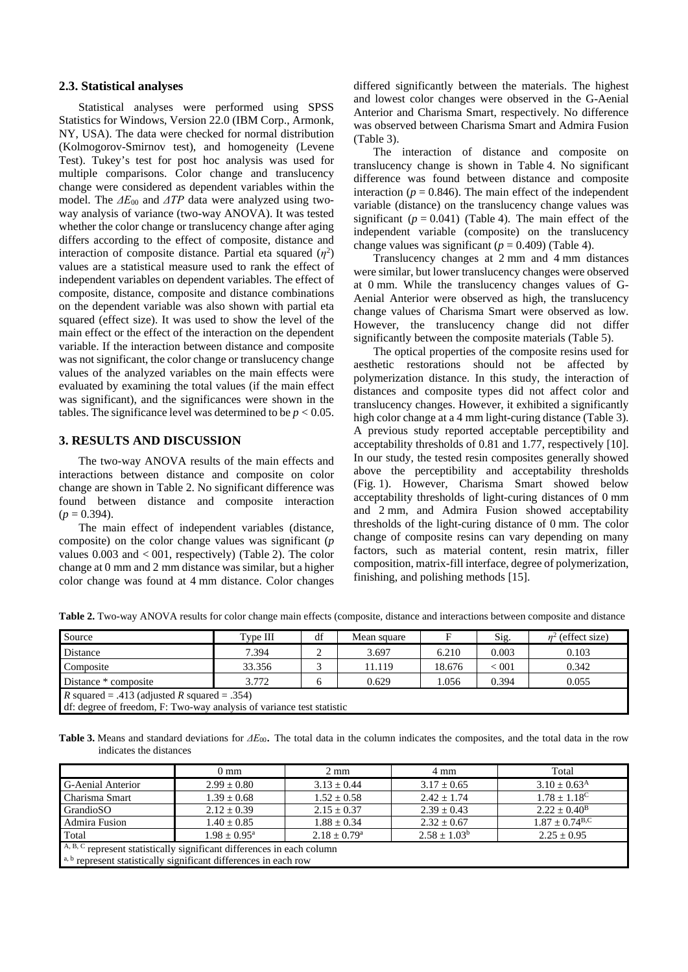#### **2.3. Statistical analyses**

Statistical analyses were performed using SPSS Statistics for Windows, Version 22.0 (IBM Corp., Armonk, NY, USA). The data were checked for normal distribution (Kolmogorov-Smirnov test), and homogeneity (Levene Test). Tukey's test for post hoc analysis was used for multiple comparisons. Color change and translucency change were considered as dependent variables within the model. The  $\Delta E_{00}$  and  $\Delta T$ P data were analyzed using twoway analysis of variance (two-way ANOVA). It was tested whether the color change or translucency change after aging differs according to the effect of composite, distance and interaction of composite distance. Partial eta squared  $(\eta^2)$ values are a statistical measure used to rank the effect of independent variables on dependent variables. The effect of composite, distance, composite and distance combinations on the dependent variable was also shown with partial eta squared (effect size). It was used to show the level of the main effect or the effect of the interaction on the dependent variable. If the interaction between distance and composite was not significant, the color change or translucency change values of the analyzed variables on the main effects were evaluated by examining the total values (if the main effect was significant), and the significances were shown in the tables. The significance level was determined to be  $p < 0.05$ .

## **3. RESULTS AND DISCUSSION**

The two-way ANOVA results of the main effects and interactions between distance and composite on color change are shown in Table 2. No significant difference was found between distance and composite interaction  $(p = 0.394)$ .

The main effect of independent variables (distance, composite) on the color change values was significant (*p* values  $0.003$  and  $< 001$ , respectively) (Table 2). The color change at 0 mm and 2 mm distance was similar, but a higher color change was found at 4 mm distance. Color changes differed significantly between the materials. The highest and lowest color changes were observed in the G-Aenial Anterior and Charisma Smart, respectively. No difference was observed between Charisma Smart and Admira Fusion (Table 3).

The interaction of distance and composite on translucency change is shown in Table 4. No significant difference was found between distance and composite interaction ( $p = 0.846$ ). The main effect of the independent variable (distance) on the translucency change values was significant  $(p = 0.041)$  (Table 4). The main effect of the independent variable (composite) on the translucency change values was significant ( $p = 0.409$ ) (Table 4).

Translucency changes at 2 mm and 4 mm distances were similar, but lower translucency changes were observed at 0 mm. While the translucency changes values of G-Aenial Anterior were observed as high, the translucency change values of Charisma Smart were observed as low. However, the translucency change did not differ significantly between the composite materials (Table 5).

The optical properties of the composite resins used for aesthetic restorations should not be affected by polymerization distance. In this study, the interaction of distances and composite types did not affect color and translucency changes. However, it exhibited a significantly high color change at a 4 mm light-curing distance (Table 3). A previous study reported acceptable perceptibility and acceptability thresholds of 0.81 and 1.77, respectively [10]. In our study, the tested resin composites generally showed above the perceptibility and acceptability thresholds (Fig. 1). However, Charisma Smart showed below acceptability thresholds of light-curing distances of 0 mm and 2 mm, and Admira Fusion showed acceptability thresholds of the light-curing distance of 0 mm. The color change of composite resins can vary depending on many factors, such as material content, resin matrix, filler composition, matrix-fill interface, degree of polymerization, finishing, and polishing methods [15].

| Source                                                                | Type III | df | Mean square |        | Sig.  | $\eta^2$ (effect size) |  |
|-----------------------------------------------------------------------|----------|----|-------------|--------|-------|------------------------|--|
| Distance                                                              | 7.394    |    | 3.697       | 6.210  | 0.003 | 0.103                  |  |
| Composite                                                             | 33.356   |    | 11.119      | 18.676 | < 001 | 0.342                  |  |
| Distance * composite                                                  | 3.772    |    | 0.629       | 1.056  | 0.394 | 0.055                  |  |
| R squared = .413 (adjusted R squared = .354)                          |          |    |             |        |       |                        |  |
| df: degree of freedom, F: Two-way analysis of variance test statistic |          |    |             |        |       |                        |  |

**Table 2.** Two-way ANOVA results for color change main effects (composite, distance and interactions between composite and distance

**Table 3.** Means and standard deviations for *ΔE*00. The total data in the column indicates the composites, and the total data in the row indicates the distances

|                                                                        | $0 \text{ mm}$           | $2 \text{ mm}$             | 4 mm            | Total                        |  |  |
|------------------------------------------------------------------------|--------------------------|----------------------------|-----------------|------------------------------|--|--|
| <b>G-Aenial Anterior</b>                                               | $2.99 \pm 0.80$          | $3.13 \pm 0.44$            | $3.17 \pm 0.65$ | $3.10 + 0.63^{\rm A}$        |  |  |
| Charisma Smart                                                         | $1.39 \pm 0.68$          | $1.52 \pm 0.58$            | $2.42 + 1.74$   | $1.78 \pm 1.18^{\circ}$      |  |  |
| GrandioSO                                                              | $2.12 + 0.39$            | $2.15 \pm 0.37$            | $2.39 \pm 0.43$ | $2.22 + 0.40^{\rm B}$        |  |  |
| <b>Admira Fusion</b>                                                   | $1.40 + 0.85$            | $1.88 \pm 0.34$            | $2.32 + 0.67$   | $1.87 + 0.74$ <sup>B,C</sup> |  |  |
| Total                                                                  | $1.98 + 0.95^{\text{a}}$ | $2.18 + 0.79$ <sup>a</sup> | $2.58 + 1.03^b$ | $2.25 + 0.95$                |  |  |
| A, B, C represent statistically significant differences in each column |                          |                            |                 |                              |  |  |
| a, b represent statistically significant differences in each row       |                          |                            |                 |                              |  |  |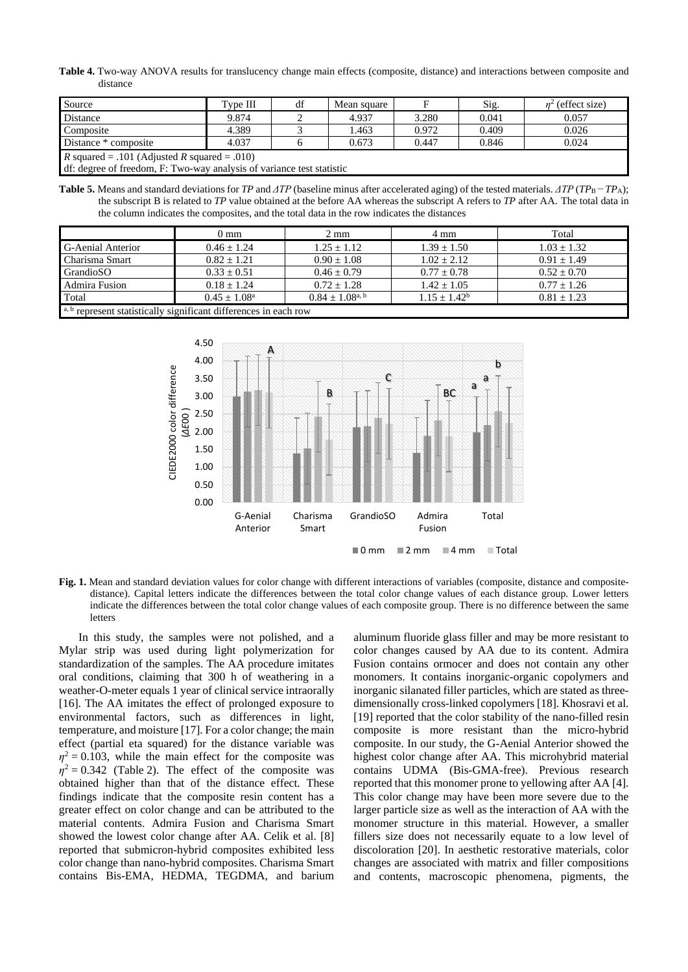**Table 4.** Two-way ANOVA results for translucency change main effects (composite, distance) and interactions between composite and distance

| Source                                                                | Tvpe III | df | Mean square |       | Sig.  | $n^2$ (effect size) |
|-----------------------------------------------------------------------|----------|----|-------------|-------|-------|---------------------|
| Distance                                                              | 9.874    |    | 4.937       | 3.280 | 0.041 | 0.057               |
| Composite                                                             | 4.389    |    | .463        | 0.972 | 0.409 | 0.026               |
| Distance * composite                                                  | 4.037    |    | 0.673       | 0.447 | 0.846 | 0.024               |
| <i>R</i> squared = .101 (Adjusted <i>R</i> squared = .010)            |          |    |             |       |       |                     |
| df: degree of freedom, F: Two-way analysis of variance test statistic |          |    |             |       |       |                     |

Table 5. Means and standard deviations for *TP* and *ΔTP* (baseline minus after accelerated aging) of the tested materials. *ΔTP* (*TP*<sub>B</sub> – *TP*<sub>A</sub>); the subscript B is related to *TP* value obtained at the before AA whereas the subscript A refers to *TP* after AA. The total data in the column indicates the composites, and the total data in the row indicates the distances

|                                                                  | $0 \text{ mm}$        | $2 \text{ mm}$         | 4 mm            | Total           |  |  |
|------------------------------------------------------------------|-----------------------|------------------------|-----------------|-----------------|--|--|
| <b>G-Aenial Anterior</b>                                         | $0.46 + 1.24$         | $1.25 + 1.12$          | $1.39 + 1.50$   | $1.03 + 1.32$   |  |  |
| Charisma Smart                                                   | $0.82 + 1.21$         | $0.90 + 1.08$          | $1.02 + 2.12$   | $0.91 + 1.49$   |  |  |
| GrandioSO                                                        | $0.33 \pm 0.51$       | $0.46 + 0.79$          | $0.77 + 0.78$   | $0.52 + 0.70$   |  |  |
| <b>Admira Fusion</b>                                             | $0.18 + 1.24$         | $0.72 + 1.28$          | $1.42 \pm 1.05$ | $0.77 \pm 1.26$ |  |  |
| Total                                                            | $0.45 + 1.08^{\circ}$ | $0.84 \pm 1.08^{a, b}$ | $1.15 + 1.42^b$ | $0.81 + 1.23$   |  |  |
| a, b represent statistically significant differences in each row |                       |                        |                 |                 |  |  |



**Fig. 1.** Mean and standard deviation values for color change with different interactions of variables (composite, distance and compositedistance). Capital letters indicate the differences between the total color change values of each distance group. Lower letters indicate the differences between the total color change values of each composite group. There is no difference between the same letters

In this study, the samples were not polished, and a Mylar strip was used during light polymerization for standardization of the samples. The AA procedure imitates oral conditions, claiming that 300 h of weathering in a weather-O-meter equals 1 year of clinical service intraorally [16]. The AA imitates the effect of prolonged exposure to environmental factors, such as differences in light, temperature, and moisture [17]. For a color change; the main effect (partial eta squared) for the distance variable was  $\eta^2$  = 0.103, while the main effect for the composite was  $\eta^2 = 0.342$  (Table 2). The effect of the composite was obtained higher than that of the distance effect. These findings indicate that the composite resin content has a greater effect on color change and can be attributed to the material contents. Admira Fusion and Charisma Smart showed the lowest color change after AA. Celik et al. [8] reported that submicron-hybrid composites exhibited less color change than nano-hybrid composites. Charisma Smart contains Bis-EMA, HEDMA, TEGDMA, and barium

aluminum fluoride glass filler and may be more resistant to color changes caused by AA due to its content. Admira Fusion contains ormocer and does not contain any other monomers. It contains inorganic-organic copolymers and inorganic silanated filler particles, which are stated as threedimensionally cross-linked copolymers [18]. Khosravi et al. [19] reported that the color stability of the nano-filled resin composite is more resistant than the micro-hybrid composite. In our study, the G-Aenial Anterior showed the highest color change after AA. This microhybrid material contains UDMA (Bis-GMA-free). Previous research reported that this monomer prone to yellowing after AA [4]. This color change may have been more severe due to the larger particle size as well as the interaction of AA with the monomer structure in this material. However, a smaller fillers size does not necessarily equate to a low level of discoloration [20]. In aesthetic restorative materials, color changes are associated with matrix and filler compositions and contents, macroscopic phenomena, pigments, the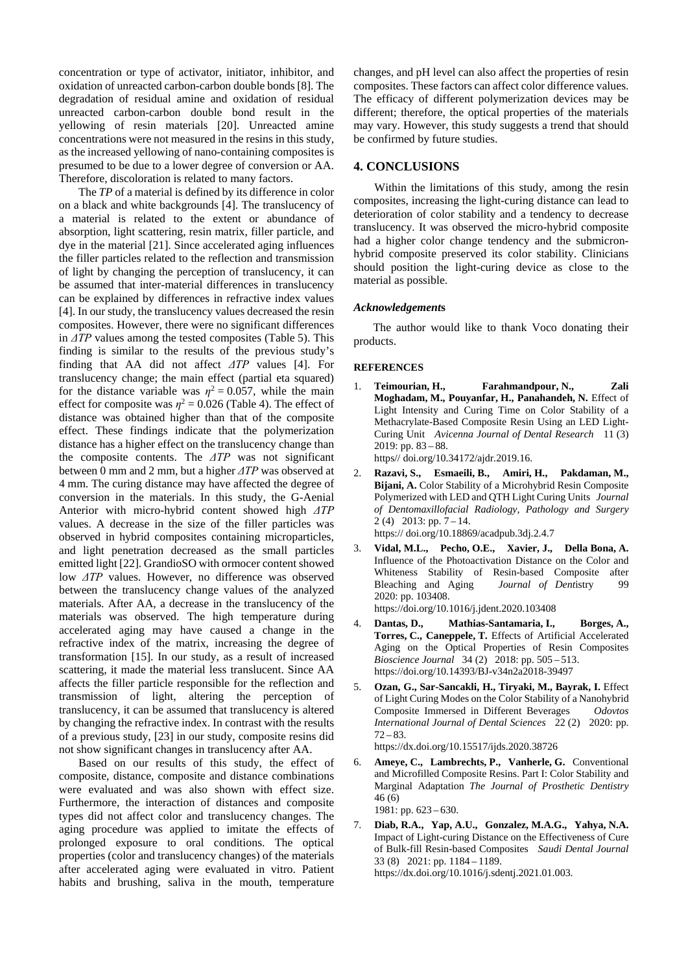concentration or type of activator, initiator, inhibitor, and oxidation of unreacted carbon-carbon double bonds [8]. The degradation of residual amine and oxidation of residual unreacted carbon-carbon double bond result in the yellowing of resin materials [20]. Unreacted amine concentrations were not measured in the resins in this study, as the increased yellowing of nano-containing composites is presumed to be due to a lower degree of conversion or AA. Therefore, discoloration is related to many factors.

The *TP* of a material is defined by its difference in color on a black and white backgrounds [4]. The translucency of a material is related to the extent or abundance of absorption, light scattering, resin matrix, filler particle, and dye in the material [21]. Since accelerated aging influences the filler particles related to the reflection and transmission of light by changing the perception of translucency, it can be assumed that inter-material differences in translucency can be explained by differences in refractive index values [4]. In our study, the translucency values decreased the resin composites. However, there were no significant differences in *ΔTP* values among the tested composites (Table 5). This finding is similar to the results of the previous study's finding that AA did not affect *ΔTP* values [4]. For translucency change; the main effect (partial eta squared) for the distance variable was  $\eta^2 = 0.057$ , while the main effect for composite was  $\eta^2 = 0.026$  (Table 4). The effect of distance was obtained higher than that of the composite effect. These findings indicate that the polymerization distance has a higher effect on the translucency change than the composite contents. The *ΔTP* was not significant between 0 mm and 2 mm, but a higher *ΔTP* was observed at 4 mm. The curing distance may have affected the degree of conversion in the materials. In this study, the G-Aenial Anterior with micro-hybrid content showed high *ΔTP* values. A decrease in the size of the filler particles was observed in hybrid composites containing microparticles, and light penetration decreased as the small particles emitted light [22]. GrandioSO with ormocer content showed low *ΔTP* values. However, no difference was observed between the translucency change values of the analyzed materials. After AA, a decrease in the translucency of the materials was observed. The high temperature during accelerated aging may have caused a change in the refractive index of the matrix, increasing the degree of transformation [15]. In our study, as a result of increased scattering, it made the material less translucent. Since AA affects the filler particle responsible for the reflection and transmission of light, altering the perception of translucency, it can be assumed that translucency is altered by changing the refractive index. In contrast with the results of a previous study, [23] in our study, composite resins did not show significant changes in translucency after AA.

Based on our results of this study, the effect of composite, distance, composite and distance combinations were evaluated and was also shown with effect size. Furthermore, the interaction of distances and composite types did not affect color and translucency changes. The aging procedure was applied to imitate the effects of prolonged exposure to oral conditions. The optical properties (color and translucency changes) of the materials after accelerated aging were evaluated in vitro. Patient habits and brushing, saliva in the mouth, temperature

changes, and pH level can also affect the properties of resin composites. These factors can affect color difference values. The efficacy of different polymerization devices may be different; therefore, the optical properties of the materials may vary. However, this study suggests a trend that should be confirmed by future studies.

## **4. CONCLUSIONS**

Within the limitations of this study, among the resin composites, increasing the light-curing distance can lead to deterioration of color stability and a tendency to decrease translucency. It was observed the micro-hybrid composite had a higher color change tendency and the submicronhybrid composite preserved its color stability. Clinicians should position the light-curing device as close to the material as possible.

#### *Acknowledgement***s**

The author would like to thank Voco donating their products.

#### **REFERENCES**

- 1. **Teimourian, H., Farahmandpour, N., Zali Moghadam, M., Pouyanfar, H., Panahandeh, N.** Effect of Light Intensity and Curing Time on Color Stability of a Methacrylate-Based Composite Resin Using an LED Light-Curing Unit *Avicenna Journal of Dental Research* 11 (3) 2019: pp. 83 – 88. https// doi.org/10.34172/ajdr.2019.16.
	-
- 2. **Razavi, S., Esmaeili, B., Amiri, H., Pakdaman, M., Bijani, A.** Color Stability of a Microhybrid Resin Composite Polymerized with LED and QTH Light Curing Units *Journal of Dentomaxillofacial Radiology, Pathology and Surgery* 2 (4) 2013: pp. 7 – 14. https:// doi.or[g/10.18869/acadpub.3dj.2.4.7](http://dx.doi.org/10.18869/acadpub.3dj.2.4.7)
- 3. **Vidal, M.L., Pecho, O.E., Xavier, J., Della Bona, A.** Influence of the Photoactivation Distance on the Color and Whiteness Stability of Resin-based Composite after Bleaching and Aging *Journal of Dent*istry 99 2020: pp. 103408.

https://doi.org/10.1016/j.jdent.2020.103408

- 4. **Dantas, D., Mathias-Santamaria, I., Borges, A., Torres, C., Caneppele, T.** Effects of Artificial Accelerated Aging on the Optical Properties of Resin Composites *Bioscience Journal* 34 (2) 2018: pp. 505 – 513. https://doi.org/10.14393/BJ-v34n2a2018-39497
- 5. **Ozan, G., Sar-Sancakli, H., Tiryaki, M., Bayrak, I.** Effect of Light Curing Modes on the Color Stability of a Nanohybrid Composite Immersed in Different Beverages *Odovtos International Journal of Dental Sciences* 22 (2) 2020: pp.  $72 - 83.$

https://dx.doi.org/10.15517/ijds.2020.38726

- 6. **Ameye, C., Lambrechts, P., Vanherle, G.** Conventional and Microfilled Composite Resins. Part I: Color Stability and Marginal Adaptation *The Journal of Prosthetic Dentistry* 46 (6) 1981: pp.  $623 - 630$ .
- 7. **Diab, R.A., Yap, A.U., Gonzalez, M.A.G., Yahya, N.A.** Impact of Light-curing Distance on the Effectiveness of Cure of Bulk-fill Resin-based Composites *Saudi Dental Journal*  33 (8) 2021: pp. 1184 – 1189. https://dx.doi.org/10.1016/j.sdentj.2021.01.003.